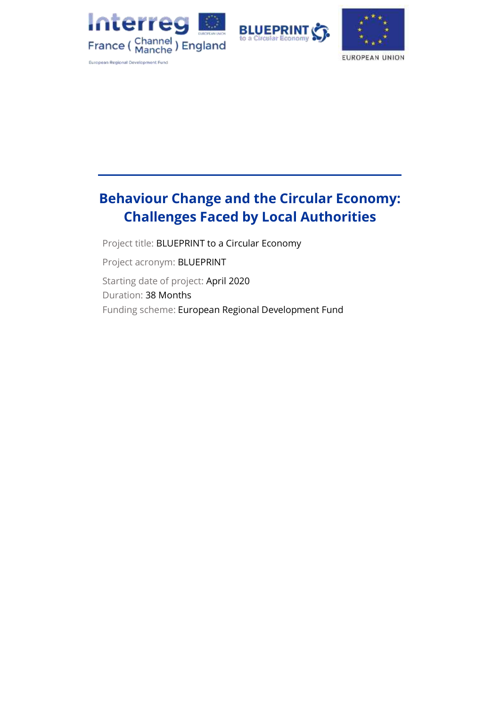





# **Behaviour Change and the Circular Economy: Challenges Faced by Local Authorities**

Project title: BLUEPRINT to a Circular Economy

Project acronym: BLUEPRINT

Starting date of project: April 2020 Duration: 38 Months Funding scheme: European Regional Development Fund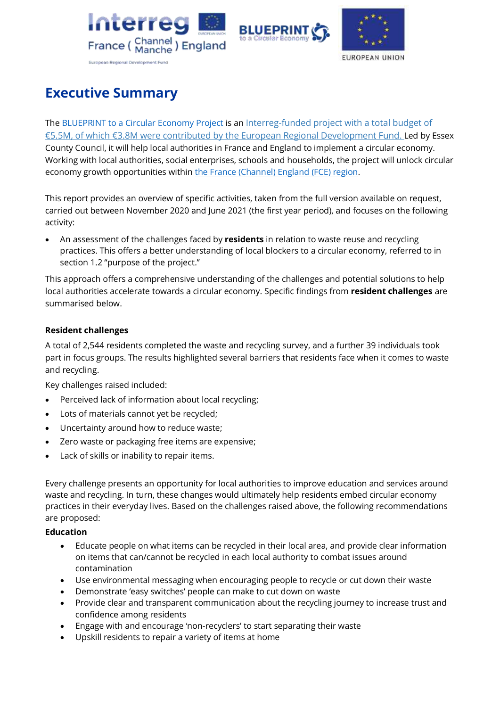





# <span id="page-1-0"></span>**Executive Summary**

Th[e BLUEPRINT to a Circular Economy](https://projectblueprint.eu/) Project is an Interreg-funded project with a total budget of €5.5M, of which €3.8M were contributed by [the European Regional Development Fund.](https://www.channelmanche.com/en/projects/approved-projects/blueprint-to-a-circular-economy/) Led by Essex County Council, it will help local authorities in France and England to implement a circular economy. Working with local authorities, social enterprises, schools and households, the project will unlock circular economy growth opportunities within [the France \(Channel\)](https://www.channelmanche.com/en/programme/eligible-area/) England (FCE) region.

This report provides an overview of specific activities, taken from the full version available on request, carried out between November 2020 and June 2021 (the first year period), and focuses on the following activity:

• An assessment of the challenges faced by **residents** in relation to waste reuse and recycling practices. This offers a better understanding of local blockers to a circular economy, referred to in section 1.2 "purpose of the project."

This approach offers a comprehensive understanding of the challenges and potential solutions to help local authorities accelerate towards a circular economy. Specific findings from **resident challenges** are summarised below.

## **Resident challenges**

A total of 2,544 residents completed the waste and recycling survey, and a further 39 individuals took part in focus groups. The results highlighted several barriers that residents face when it comes to waste and recycling.

Key challenges raised included:

- Perceived lack of information about local recycling;
- Lots of materials cannot yet be recycled;
- Uncertainty around how to reduce waste;
- Zero waste or packaging free items are expensive;
- Lack of skills or inability to repair items.

Every challenge presents an opportunity for local authorities to improve education and services around waste and recycling. In turn, these changes would ultimately help residents embed circular economy practices in their everyday lives. Based on the challenges raised above, the following recommendations are proposed:

#### **Education**

- Educate people on what items can be recycled in their local area, and provide clear information on items that can/cannot be recycled in each local authority to combat issues around contamination
- Use environmental messaging when encouraging people to recycle or cut down their waste
- Demonstrate 'easy switches' people can make to cut down on waste
- Provide clear and transparent communication about the recycling journey to increase trust and confidence among residents
- Engage with and encourage 'non-recyclers' to start separating their waste
- Upskill residents to repair a variety of items at home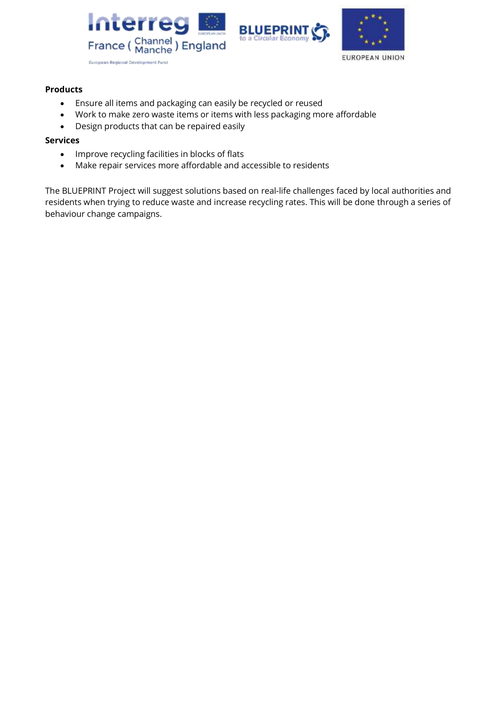





#### **Products**

- Ensure all items and packaging can easily be recycled or reused
- Work to make zero waste items or items with less packaging more affordable
- Design products that can be repaired easily

#### **Services**

- Improve recycling facilities in blocks of flats
- Make repair services more affordable and accessible to residents

The BLUEPRINT Project will suggest solutions based on real-life challenges faced by local authorities and residents when trying to reduce waste and increase recycling rates. This will be done through a series of behaviour change campaigns.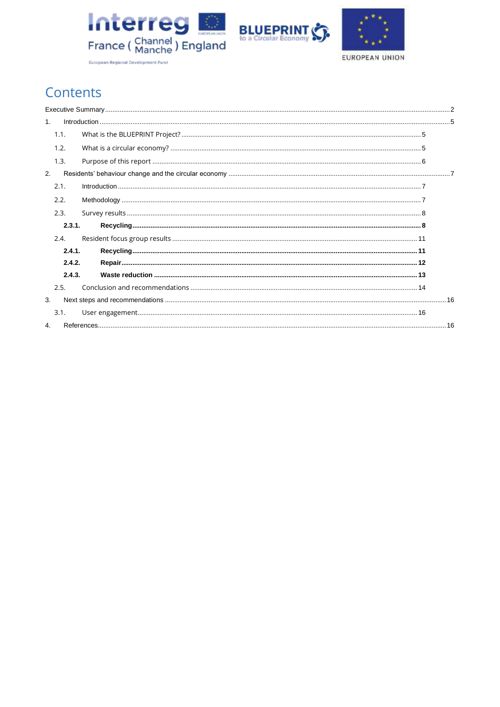





# Contents

|    | 1.1.   |  |  |  |  |  |
|----|--------|--|--|--|--|--|
|    | 1.2.   |  |  |  |  |  |
|    | 1.3.   |  |  |  |  |  |
| 2. |        |  |  |  |  |  |
|    | 2.1.   |  |  |  |  |  |
|    | 2.2.   |  |  |  |  |  |
|    | 2.3.   |  |  |  |  |  |
|    | 2.3.1. |  |  |  |  |  |
|    | 2.4.   |  |  |  |  |  |
|    | 2.4.1. |  |  |  |  |  |
|    | 2.4.2. |  |  |  |  |  |
|    | 2.4.3. |  |  |  |  |  |
|    | 2.5.   |  |  |  |  |  |
| 3. |        |  |  |  |  |  |
|    | 3.1.   |  |  |  |  |  |
| 4. |        |  |  |  |  |  |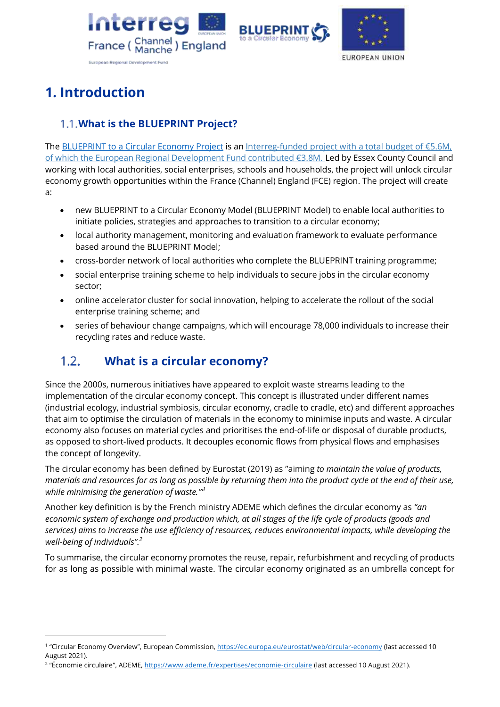





# <span id="page-4-0"></span>**1. Introduction**

## <span id="page-4-1"></span>**What is the BLUEPRINT Project?**

Th[e BLUEPRINT to a Circular Economy](https://projectblueprint.eu/) Project is an Interreg-funded project with a total budget of €5.6M, [of which the European Regional Development Fund contributed €3.8M.](https://www.channelmanche.com/en/projects/approved-projects/blueprint-to-a-circular-economy/) Led by Essex County Council and working with local authorities, social enterprises, schools and households, the project will unlock circular economy growth opportunities within the France (Channel) England (FCE) region. The project will create a:

- new BLUEPRINT to a Circular Economy Model (BLUEPRINT Model) to enable local authorities to initiate policies, strategies and approaches to transition to a circular economy;
- local authority management, monitoring and evaluation framework to evaluate performance based around the BLUEPRINT Model;
- cross-border network of local authorities who complete the BLUEPRINT training programme;
- social enterprise training scheme to help individuals to secure jobs in the circular economy sector;
- online accelerator cluster for social innovation, helping to accelerate the rollout of the social enterprise training scheme; and
- series of behaviour change campaigns, which will encourage 78,000 individuals to increase their recycling rates and reduce waste.

#### <span id="page-4-2"></span> $1.2.$ **What is a circular economy?**

Since the 2000s, numerous initiatives have appeared to exploit waste streams leading to the implementation of the circular economy concept. This concept is illustrated under different names (industrial ecology, industrial symbiosis, circular economy, cradle to cradle, etc) and different approaches that aim to optimise the circulation of materials in the economy to minimise inputs and waste. A circular economy also focuses on material cycles and prioritises the end-of-life or disposal of durable products, as opposed to short-lived products. It decouples economic flows from physical flows and emphasises the concept of longevity.

The circular economy has been defined by Eurostat (2019) as "aiming *to maintain the value of products, materials and resources for as long as possible by returning them into the product cycle at the end of their use, while minimising the generation of waste."' 1*

Another key definition is by the French ministry ADEME which defines the circular economy as *"an economic system of exchange and production which, at all stages of the life cycle of products (goods and services) aims to increase the use efficiency of resources, reduces environmental impacts, while developing the well-being of individuals". 2*

To summarise, the circular economy promotes the reuse, repair, refurbishment and recycling of products for as long as possible with minimal waste. The circular economy originated as an umbrella concept for

<sup>2</sup> "Économie circulaire", ADEME, <u><https://www.ademe.fr/expertises/economie-circulaire></u> (last accessed 10 August 2021).

<sup>&</sup>lt;sup>1</sup> "Circular Economy Overview", European Commission,<https://ec.europa.eu/eurostat/web/circular-economy> (last accessed 10 August 2021).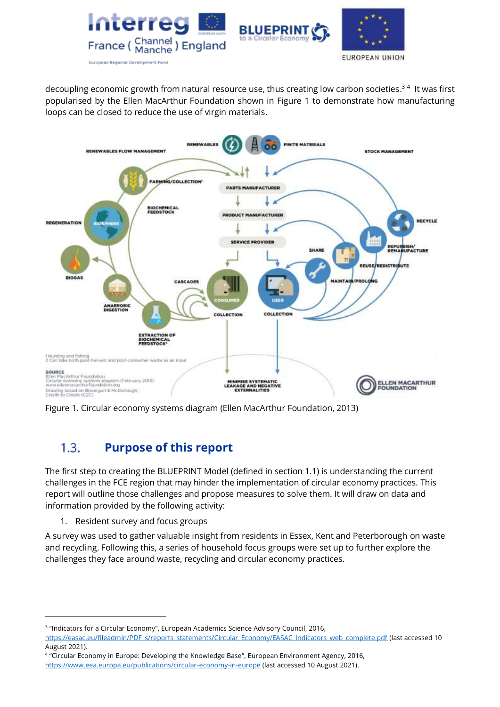

decoupling economic growth from natural resource use, thus creating low carbon societies.<sup>34</sup> It was first popularised by the Ellen MacArthur Foundation shown in Figure 1 to demonstrate how manufacturing loops can be closed to reduce the use of virgin materials.



Figure 1. Circular economy systems diagram (Ellen MacArthur Foundation, 2013)

#### <span id="page-5-0"></span> $1.3.$ **Purpose of this report**

The first step to creating the BLUEPRINT Model (defined in section 1.1) is understanding the current challenges in the FCE region that may hinder the implementation of circular economy practices. This report will outline those challenges and propose measures to solve them. It will draw on data and information provided by the following activity:

1. Resident survey and focus groups

A survey was used to gather valuable insight from residents in Essex, Kent and Peterborough on waste and recycling. Following this, a series of household focus groups were set up to further explore the challenges they face around waste, recycling and circular economy practices.

<sup>3</sup> "Indicators for a Circular Economy", European Academics Science Advisory Council, 2016,

[https://easac.eu/fileadmin/PDF\\_s/reports\\_statements/Circular\\_Economy/EASAC\\_Indicators\\_web\\_complete.pdf](https://easac.eu/fileadmin/PDF_s/reports_statements/Circular_Economy/EASAC_Indicators_web_complete.pdf) (last accessed 10 August 2021).

<sup>4</sup> "Circular Economy in Europe: Developing the Knowledge Base", European Environment Agency, 2016, <https://www.eea.europa.eu/publications/circular-economy-in-europe> (last accessed 10 August 2021).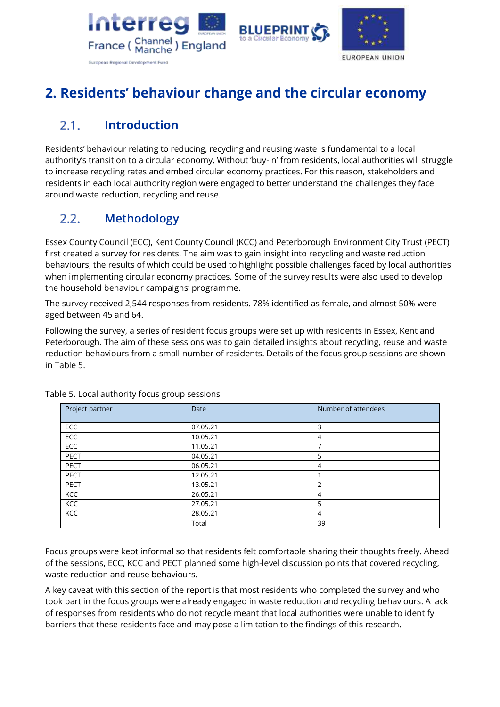



## <span id="page-6-0"></span>**2. Residents' behaviour change and the circular economy**

#### <span id="page-6-1"></span>**Introduction**  $2.1.$

Residents' behaviour relating to reducing, recycling and reusing waste is fundamental to a local authority's transition to a circular economy. Without 'buy-in' from residents, local authorities will struggle to increase recycling rates and embed circular economy practices. For this reason, stakeholders and residents in each local authority region were engaged to better understand the challenges they face around waste reduction, recycling and reuse.

#### <span id="page-6-2"></span> $2.2.$ **Methodology**

Essex County Council (ECC), Kent County Council (KCC) and Peterborough Environment City Trust (PECT) first created a survey for residents. The aim was to gain insight into recycling and waste reduction behaviours, the results of which could be used to highlight possible challenges faced by local authorities when implementing circular economy practices. Some of the survey results were also used to develop the household behaviour campaigns' programme.

The survey received 2,544 responses from residents. 78% identified as female, and almost 50% were aged between 45 and 64.

Following the survey, a series of resident focus groups were set up with residents in Essex, Kent and Peterborough. The aim of these sessions was to gain detailed insights about recycling, reuse and waste reduction behaviours from a small number of residents. Details of the focus group sessions are shown in Table 5.

| Project partner | Date     | Number of attendees |  |  |
|-----------------|----------|---------------------|--|--|
|                 |          |                     |  |  |
|                 |          |                     |  |  |
| ECC             | 07.05.21 | 3                   |  |  |
| <b>ECC</b>      | 10.05.21 | 4                   |  |  |
| <b>ECC</b>      | 11.05.21 | ⇁                   |  |  |
| PECT            | 04.05.21 | 5                   |  |  |
| <b>PECT</b>     | 06.05.21 | 4                   |  |  |
| PECT            | 12.05.21 |                     |  |  |
| PECT            | 13.05.21 | 2                   |  |  |
| KCC             | 26.05.21 | 4                   |  |  |
| KCC             | 27.05.21 | 5                   |  |  |
| KCC             | 28.05.21 | 4                   |  |  |
|                 | Total    | 39                  |  |  |

Table 5. Local authority focus group sessions

Focus groups were kept informal so that residents felt comfortable sharing their thoughts freely. Ahead of the sessions, ECC, KCC and PECT planned some high-level discussion points that covered recycling, waste reduction and reuse behaviours.

A key caveat with this section of the report is that most residents who completed the survey and who took part in the focus groups were already engaged in waste reduction and recycling behaviours. A lack of responses from residents who do not recycle meant that local authorities were unable to identify barriers that these residents face and may pose a limitation to the findings of this research.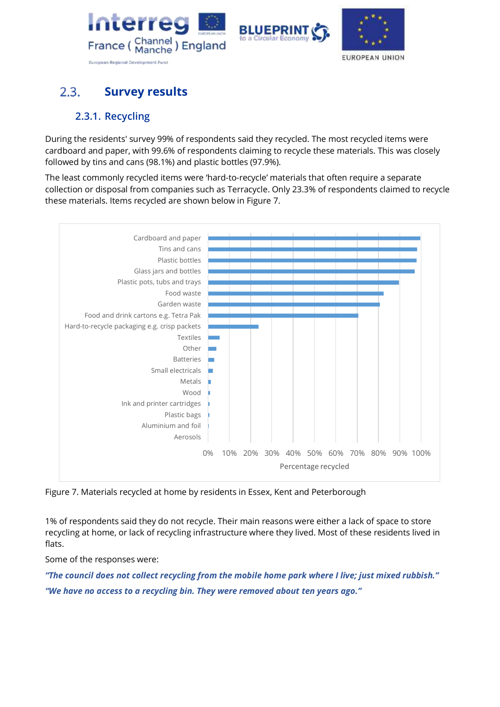





#### <span id="page-7-0"></span> $2.3.$ **Survey results**

## **2.3.1. Recycling**

<span id="page-7-1"></span>During the residents' survey 99% of respondents said they recycled. The most recycled items were cardboard and paper, with 99.6% of respondents claiming to recycle these materials. This was closely followed by tins and cans (98.1%) and plastic bottles (97.9%).

The least commonly recycled items were 'hard-to-recycle' materials that often require a separate collection or disposal from companies such as Terracycle. Only 23.3% of respondents claimed to recycle these materials. Items recycled are shown below in Figure 7.



Figure 7. Materials recycled at home by residents in Essex, Kent and Peterborough

1% of respondents said they do not recycle. Their main reasons were either a lack of space to store recycling at home, or lack of recycling infrastructure where they lived. Most of these residents lived in flats.

Some of the responses were:

*"The council does not collect recycling from the mobile home park where I live; just mixed rubbish." "We have no access to a recycling bin. They were removed about ten years ago."*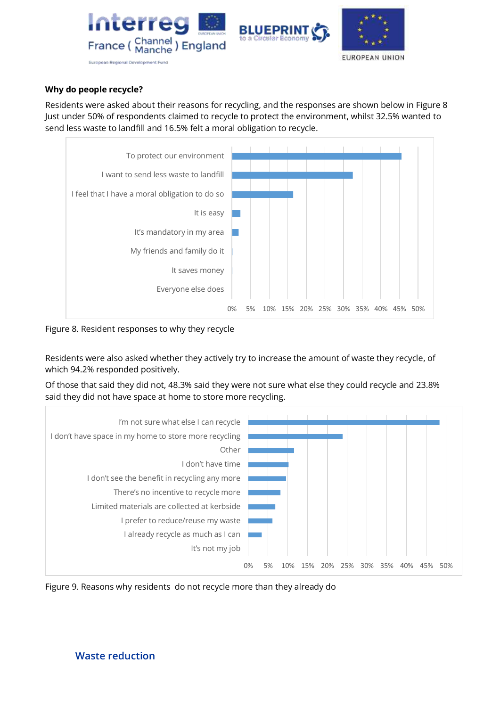

### **Why do people recycle?**

Residents were asked about their reasons for recycling, and the responses are shown below in Figure 8 Just under 50% of respondents claimed to recycle to protect the environment, whilst 32.5% wanted to send less waste to landfill and 16.5% felt a moral obligation to recycle.



Figure 8. Resident responses to why they recycle

Residents were also asked whether they actively try to increase the amount of waste they recycle, of which 94.2% responded positively.

Of those that said they did not, 48.3% said they were not sure what else they could recycle and 23.8% said they did not have space at home to store more recycling.



Figure 9. Reasons why residents do not recycle more than they already do

## **Waste reduction**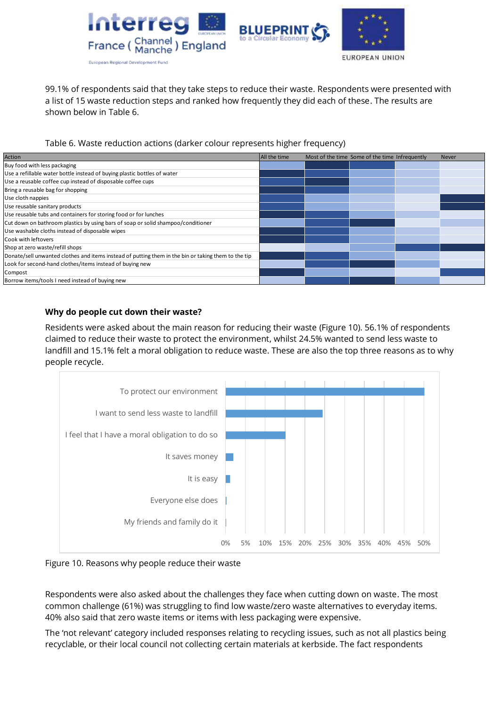

99.1% of respondents said that they take steps to reduce their waste. Respondents were presented with a list of 15 waste reduction steps and ranked how frequently they did each of these. The results are shown below in Table 6.

Table 6. Waste reduction actions (darker colour represents higher frequency)

| Action                                                                                              | All the time | Most of the time Some of the time Infrequently | <b>Never</b> |
|-----------------------------------------------------------------------------------------------------|--------------|------------------------------------------------|--------------|
| Buy food with less packaging                                                                        |              |                                                |              |
| Use a refillable water bottle instead of buying plastic bottles of water                            |              |                                                |              |
| Use a reusable coffee cup instead of disposable coffee cups                                         |              |                                                |              |
| Bring a reusable bag for shopping                                                                   |              |                                                |              |
| Use cloth nappies                                                                                   |              |                                                |              |
| Use reusable sanitary products                                                                      |              |                                                |              |
| Use reusable tubs and containers for storing food or for lunches                                    |              |                                                |              |
| Cut down on bathroom plastics by using bars of soap or solid shampoo/conditioner                    |              |                                                |              |
| Use washable cloths instead of disposable wipes                                                     |              |                                                |              |
| Cook with leftovers                                                                                 |              |                                                |              |
| Shop at zero waste/refill shops                                                                     |              |                                                |              |
| Donate/sell unwanted clothes and items instead of putting them in the bin or taking them to the tip |              |                                                |              |
| Look for second-hand clothes/items instead of buying new                                            |              |                                                |              |
| Compost                                                                                             |              |                                                |              |
| Borrow items/tools I need instead of buying new                                                     |              |                                                |              |

### **Why do people cut down their waste?**

Residents were asked about the main reason for reducing their waste (Figure 10). 56.1% of respondents claimed to reduce their waste to protect the environment, whilst 24.5% wanted to send less waste to landfill and 15.1% felt a moral obligation to reduce waste. These are also the top three reasons as to why people recycle.



Figure 10. Reasons why people reduce their waste

Respondents were also asked about the challenges they face when cutting down on waste. The most common challenge (61%) was struggling to find low waste/zero waste alternatives to everyday items. 40% also said that zero waste items or items with less packaging were expensive.

The 'not relevant' category included responses relating to recycling issues, such as not all plastics being recyclable, or their local council not collecting certain materials at kerbside. The fact respondents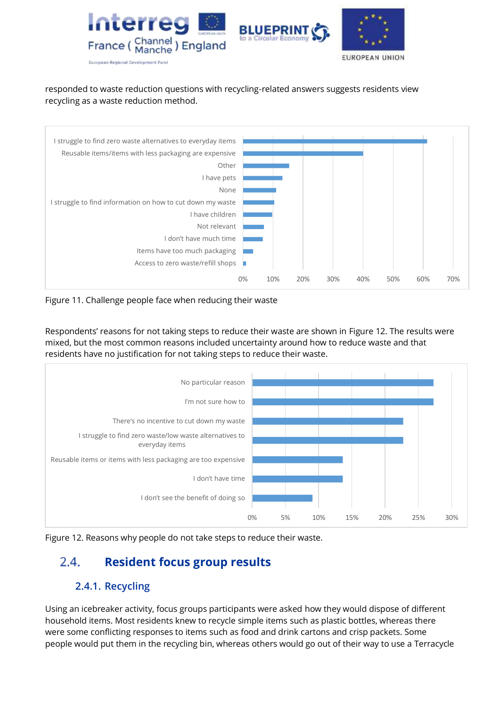

## responded to waste reduction questions with recycling-related answers suggests residents view recycling as a waste reduction method.



Figure 11. Challenge people face when reducing their waste

Respondents' reasons for not taking steps to reduce their waste are shown in Figure 12. The results were mixed, but the most common reasons included uncertainty around how to reduce waste and that residents have no justification for not taking steps to reduce their waste.



<span id="page-10-0"></span>Figure 12. Reasons why people do not take steps to reduce their waste.

#### **Resident focus group results**  $2.4.$

## **2.4.1. Recycling**

<span id="page-10-1"></span>Using an icebreaker activity, focus groups participants were asked how they would dispose of different household items. Most residents knew to recycle simple items such as plastic bottles, whereas there were some conflicting responses to items such as food and drink cartons and crisp packets. Some people would put them in the recycling bin, whereas others would go out of their way to use a Terracycle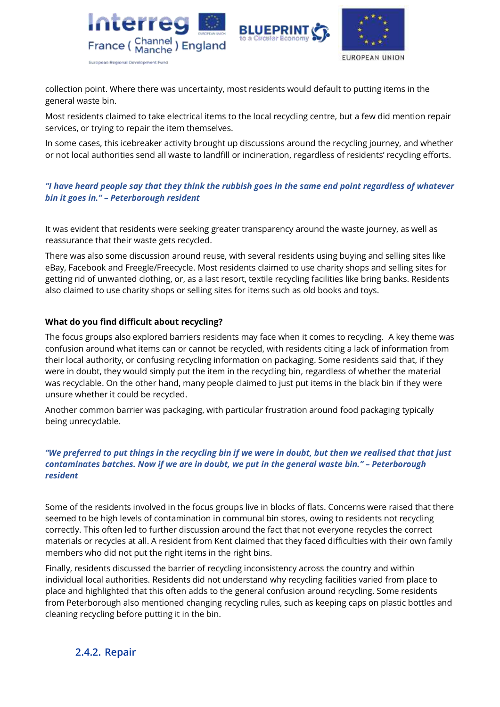



collection point. Where there was uncertainty, most residents would default to putting items in the general waste bin.

Most residents claimed to take electrical items to the local recycling centre, but a few did mention repair services, or trying to repair the item themselves.

In some cases, this icebreaker activity brought up discussions around the recycling journey, and whether or not local authorities send all waste to landfill or incineration, regardless of residents' recycling efforts.

### *"I have heard people say that they think the rubbish goes in the same end point regardless of whatever bin it goes in." – Peterborough resident*

It was evident that residents were seeking greater transparency around the waste journey, as well as reassurance that their waste gets recycled.

There was also some discussion around reuse, with several residents using buying and selling sites like eBay, Facebook and Freegle/Freecycle. Most residents claimed to use charity shops and selling sites for getting rid of unwanted clothing, or, as a last resort, textile recycling facilities like bring banks. Residents also claimed to use charity shops or selling sites for items such as old books and toys.

### **What do you find difficult about recycling?**

The focus groups also explored barriers residents may face when it comes to recycling. A key theme was confusion around what items can or cannot be recycled, with residents citing a lack of information from their local authority, or confusing recycling information on packaging. Some residents said that, if they were in doubt, they would simply put the item in the recycling bin, regardless of whether the material was recyclable. On the other hand, many people claimed to just put items in the black bin if they were unsure whether it could be recycled.

Another common barrier was packaging, with particular frustration around food packaging typically being unrecyclable.

#### *"We preferred to put things in the recycling bin if we were in doubt, but then we realised that that just contaminates batches. Now if we are in doubt, we put in the general waste bin." – Peterborough resident*

Some of the residents involved in the focus groups live in blocks of flats. Concerns were raised that there seemed to be high levels of contamination in communal bin stores, owing to residents not recycling correctly. This often led to further discussion around the fact that not everyone recycles the correct materials or recycles at all. A resident from Kent claimed that they faced difficulties with their own family members who did not put the right items in the right bins.

<span id="page-11-0"></span>Finally, residents discussed the barrier of recycling inconsistency across the country and within individual local authorities. Residents did not understand why recycling facilities varied from place to place and highlighted that this often adds to the general confusion around recycling. Some residents from Peterborough also mentioned changing recycling rules, such as keeping caps on plastic bottles and cleaning recycling before putting it in the bin.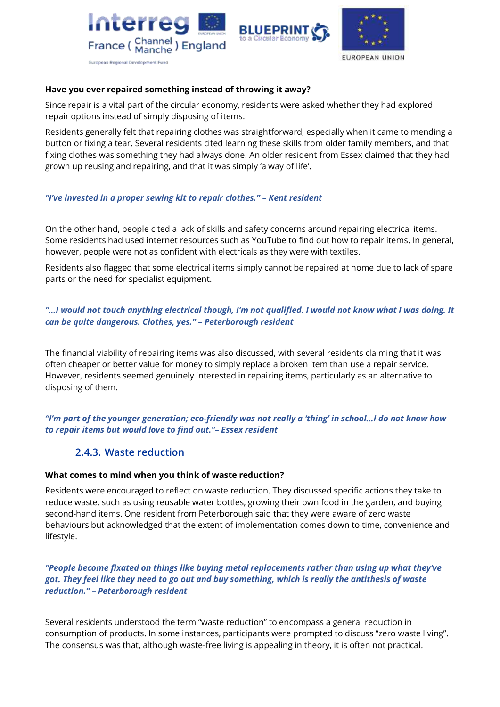





#### **Have you ever repaired something instead of throwing it away?**

Since repair is a vital part of the circular economy, residents were asked whether they had explored repair options instead of simply disposing of items.

Residents generally felt that repairing clothes was straightforward, especially when it came to mending a button or fixing a tear. Several residents cited learning these skills from older family members, and that fixing clothes was something they had always done. An older resident from Essex claimed that they had grown up reusing and repairing, and that it was simply 'a way of life'.

#### *"I've invested in a proper sewing kit to repair clothes." – Kent resident*

On the other hand, people cited a lack of skills and safety concerns around repairing electrical items. Some residents had used internet resources such as YouTube to find out how to repair items. In general, however, people were not as confident with electricals as they were with textiles.

Residents also flagged that some electrical items simply cannot be repaired at home due to lack of spare parts or the need for specialist equipment.

#### *"…I would not touch anything electrical though, I'm not qualified. I would not know what I was doing. It can be quite dangerous. Clothes, yes." – Peterborough resident*

The financial viability of repairing items was also discussed, with several residents claiming that it was often cheaper or better value for money to simply replace a broken item than use a repair service. However, residents seemed genuinely interested in repairing items, particularly as an alternative to disposing of them.

### <span id="page-12-0"></span>*"I'm part of the younger generation; eco-friendly was not really a 'thing' in school…I do not know how to repair items but would love to find out."– Essex resident*

## **2.4.3. Waste reduction**

#### **What comes to mind when you think of waste reduction?**

Residents were encouraged to reflect on waste reduction. They discussed specific actions they take to reduce waste, such as using reusable water bottles, growing their own food in the garden, and buying second-hand items. One resident from Peterborough said that they were aware of zero waste behaviours but acknowledged that the extent of implementation comes down to time, convenience and lifestyle.

#### *"People become fixated on things like buying metal replacements rather than using up what they've got. They feel like they need to go out and buy something, which is really the antithesis of waste reduction." – Peterborough resident*

Several residents understood the term "waste reduction" to encompass a general reduction in consumption of products. In some instances, participants were prompted to discuss "zero waste living". The consensus was that, although waste-free living is appealing in theory, it is often not practical.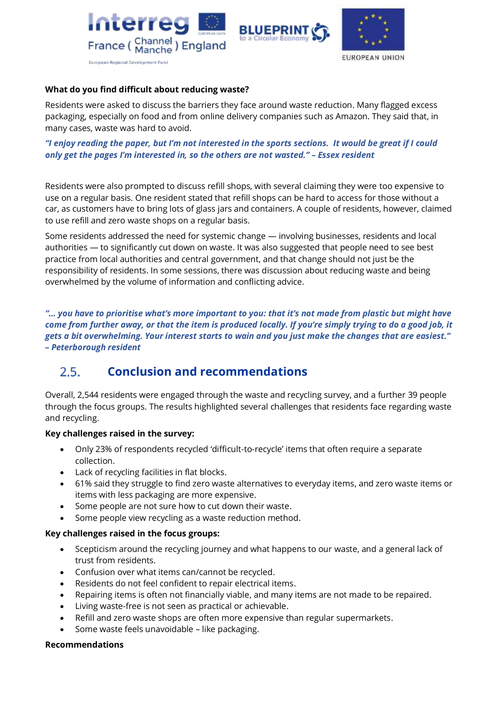





### **What do you find difficult about reducing waste?**

Residents were asked to discuss the barriers they face around waste reduction. Many flagged excess packaging, especially on food and from online delivery companies such as Amazon. They said that, in many cases, waste was hard to avoid.

*"I enjoy reading the paper, but I'm not interested in the sports sections. It would be great if I could only get the pages I'm interested in, so the others are not wasted." – Essex resident*

Residents were also prompted to discuss refill shops, with several claiming they were too expensive to use on a regular basis. One resident stated that refill shops can be hard to access for those without a car, as customers have to bring lots of glass jars and containers. A couple of residents, however, claimed to use refill and zero waste shops on a regular basis.

Some residents addressed the need for systemic change — involving businesses, residents and local authorities — to significantly cut down on waste. It was also suggested that people need to see best practice from local authorities and central government, and that change should not just be the responsibility of residents. In some sessions, there was discussion about reducing waste and being overwhelmed by the volume of information and conflicting advice.

*"… you have to prioritise what's more important to you: that it's not made from plastic but might have come from further away, or that the item is produced locally. If you're simply trying to do a good job, it gets a bit overwhelming. Your interest starts to wain and you just make the changes that are easiest." – Peterborough resident*

#### <span id="page-13-0"></span> $2.5.$ **Conclusion and recommendations**

Overall, 2,544 residents were engaged through the waste and recycling survey, and a further 39 people through the focus groups. The results highlighted several challenges that residents face regarding waste and recycling.

#### **Key challenges raised in the survey:**

- Only 23% of respondents recycled 'difficult-to-recycle' items that often require a separate collection.
- Lack of recycling facilities in flat blocks.
- 61% said they struggle to find zero waste alternatives to everyday items, and zero waste items or items with less packaging are more expensive.
- Some people are not sure how to cut down their waste.
- Some people view recycling as a waste reduction method.

#### **Key challenges raised in the focus groups:**

- Scepticism around the recycling journey and what happens to our waste, and a general lack of trust from residents.
- Confusion over what items can/cannot be recycled.
- Residents do not feel confident to repair electrical items.
- Repairing items is often not financially viable, and many items are not made to be repaired.
- Living waste-free is not seen as practical or achievable.
- Refill and zero waste shops are often more expensive than regular supermarkets.
- Some waste feels unavoidable like packaging.

#### **Recommendations**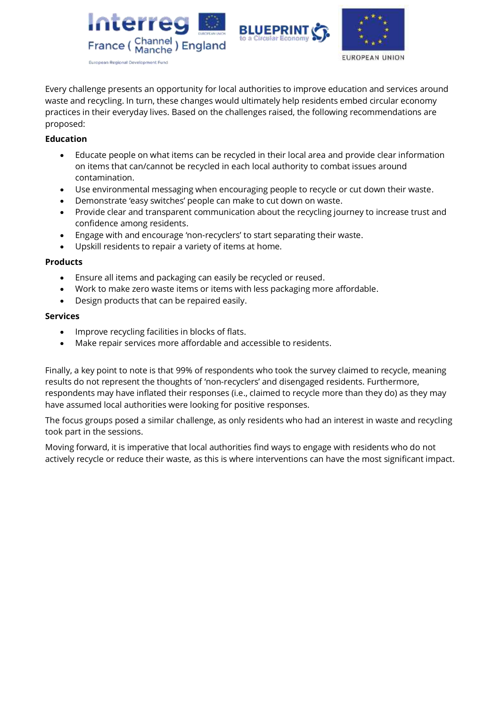





Every challenge presents an opportunity for local authorities to improve education and services around waste and recycling. In turn, these changes would ultimately help residents embed circular economy practices in their everyday lives. Based on the challenges raised, the following recommendations are proposed:

### **Education**

- Educate people on what items can be recycled in their local area and provide clear information on items that can/cannot be recycled in each local authority to combat issues around contamination.
- Use environmental messaging when encouraging people to recycle or cut down their waste.
- Demonstrate 'easy switches' people can make to cut down on waste.
- Provide clear and transparent communication about the recycling journey to increase trust and confidence among residents.
- Engage with and encourage 'non-recyclers' to start separating their waste.
- Upskill residents to repair a variety of items at home.

#### **Products**

- Ensure all items and packaging can easily be recycled or reused.
- Work to make zero waste items or items with less packaging more affordable.
- Design products that can be repaired easily.

#### **Services**

- Improve recycling facilities in blocks of flats.
- Make repair services more affordable and accessible to residents.

Finally, a key point to note is that 99% of respondents who took the survey claimed to recycle, meaning results do not represent the thoughts of 'non-recyclers' and disengaged residents. Furthermore, respondents may have inflated their responses (i.e., claimed to recycle more than they do) as they may have assumed local authorities were looking for positive responses.

The focus groups posed a similar challenge, as only residents who had an interest in waste and recycling took part in the sessions.

Moving forward, it is imperative that local authorities find ways to engage with residents who do not actively recycle or reduce their waste, as this is where interventions can have the most significant impact.